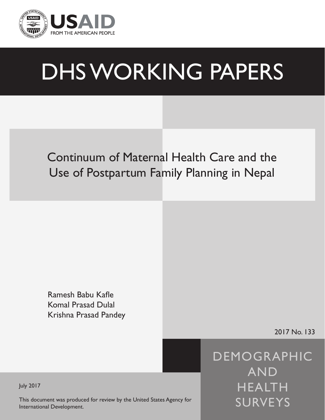

# DHS WORKING PAPERS

# Continuum of Maternal Health Care and the Use of Postpartum Family Planning in Nepal

Ramesh Babu Kafle Komal Prasad Dulal Krishna Prasad Pandey

2017 No. 133

DEMOGRAPHIC AND HEALTH SURVEYS

July 2017

This document was produced for review by the United States Agency for International Development.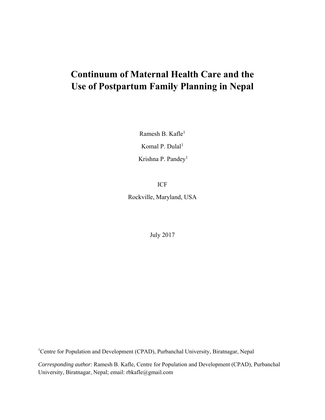# **Continuum of Maternal Health Care and the Use of Postpartum Family Planning in Nepal**

Ramesh B. Kafle<sup>1</sup> Komal P. Dula $l<sup>1</sup>$ Krishna P. Pandey<sup>1</sup>

ICF

Rockville, Maryland, USA

July 2017

<sup>1</sup>Centre for Population and Development (CPAD), Purbanchal University, Biratnagar, Nepal

*Corresponding author*: Ramesh B. Kafle, Centre for Population and Development (CPAD), Purbanchal University, Biratnagar, Nepal; email: rbkafle@gmail.com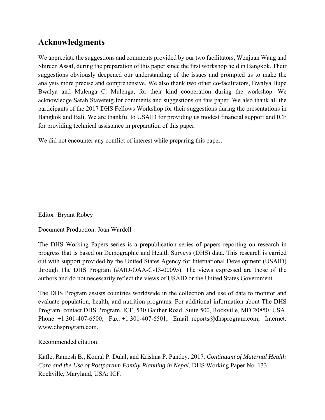# **Acknowledgments**

We appreciate the suggestions and comments provided by our two facilitators, Wenjuan Wang and Shireen Assaf, during the preparation of this paper since the first workshop held in Bangkok. Their suggestions obviously deepened our understanding of the issues and prompted us to make the analysis more precise and comprehensive. We also thank two other co-facilitators, Bwalya Bupe Bwalya and Mulenga C. Mulenga, for their kind cooperation during the workshop. We acknowledge Sarah Staveteig for comments and suggestions on this paper. We also thank all the participants of the 2017 DHS Fellows Workshop for their suggestions during the presentations in Bangkok and Bali. We are thankful to USAID for providing us modest financial support and ICF for providing technical assistance in preparation of this paper.

We did not encounter any conflict of interest while preparing this paper.

Editor: Bryant Robey

Document Production: Joan Wardell

The DHS Working Papers series is a prepublication series of papers reporting on research in progress that is based on Demographic and Health Surveys (DHS) data. This research is carried out with support provided by the United States Agency for International Development (USAID) through The DHS Program (#AID-OAA-C-13-00095). The views expressed are those of the authors and do not necessarily reflect the views of USAID or the United States Government.

The DHS Program assists countries worldwide in the collection and use of data to monitor and evaluate population, health, and nutrition programs. For additional information about The DHS Program, contact DHS Program, ICF, 530 Gaither Road, Suite 500, Rockville, MD 20850, USA. Phone: +1 301-407-6500; Fax: +1 301-407-6501; Email: reports@dhsprogram.com; Internet: www.dhsprogram.com.

Recommended citation:

Kafle, Ramesh B., Komal P. Dulal, and Krishna P. Pandey. 2017. *Continuum of Maternal Health Care and the Use of Postpartum Family Planning in Nepal*. DHS Working Paper No. 133. Rockville, Maryland, USA: ICF.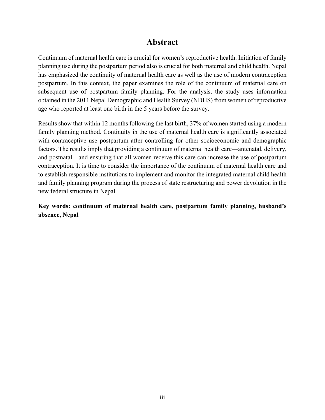## **Abstract**

Continuum of maternal health care is crucial for women's reproductive health. Initiation of family planning use during the postpartum period also is crucial for both maternal and child health. Nepal has emphasized the continuity of maternal health care as well as the use of modern contraception postpartum. In this context, the paper examines the role of the continuum of maternal care on subsequent use of postpartum family planning. For the analysis, the study uses information obtained in the 2011 Nepal Demographic and Health Survey (NDHS) from women of reproductive age who reported at least one birth in the 5 years before the survey.

Results show that within 12 months following the last birth, 37% of women started using a modern family planning method. Continuity in the use of maternal health care is significantly associated with contraceptive use postpartum after controlling for other socioeconomic and demographic factors. The results imply that providing a continuum of maternal health care—antenatal, delivery, and postnatal—and ensuring that all women receive this care can increase the use of postpartum contraception. It is time to consider the importance of the continuum of maternal health care and to establish responsible institutions to implement and monitor the integrated maternal child health and family planning program during the process of state restructuring and power devolution in the new federal structure in Nepal.

**Key words: continuum of maternal health care, postpartum family planning, husband's absence, Nepal**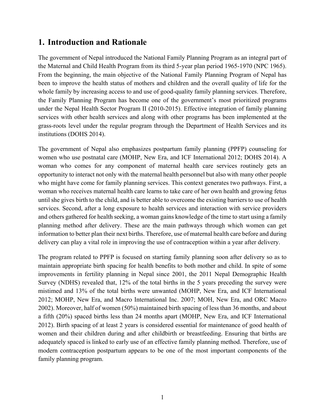# **1. Introduction and Rationale**

The government of Nepal introduced the National Family Planning Program as an integral part of the Maternal and Child Health Program from its third 5-year plan period 1965-1970 (NPC 1965). From the beginning, the main objective of the National Family Planning Program of Nepal has been to improve the health status of mothers and children and the overall quality of life for the whole family by increasing access to and use of good-quality family planning services. Therefore, the Family Planning Program has become one of the government's most prioritized programs under the Nepal Health Sector Program II (2010-2015). Effective integration of family planning services with other health services and along with other programs has been implemented at the grass-roots level under the regular program through the Department of Health Services and its institutions (DOHS 2014).

The government of Nepal also emphasizes postpartum family planning (PPFP) counseling for women who use postnatal care (MOHP, New Era, and ICF International 2012; DOHS 2014). A woman who comes for any component of maternal health care services routinely gets an opportunity to interact not only with the maternal health personnel but also with many other people who might have come for family planning services. This context generates two pathways. First, a woman who receives maternal health care learns to take care of her own health and growing fetus until she gives birth to the child, and is better able to overcome the existing barriers to use of health services. Second, after a long exposure to health services and interaction with service providers and others gathered for health seeking, a woman gains knowledge of the time to start using a family planning method after delivery. These are the main pathways through which women can get information to better plan their next births. Therefore, use of maternal health care before and during delivery can play a vital role in improving the use of contraception within a year after delivery.

The program related to PPFP is focused on starting family planning soon after delivery so as to maintain appropriate birth spacing for health benefits to both mother and child. In spite of some improvements in fertility planning in Nepal since 2001, the 2011 Nepal Demographic Health Survey (NDHS) revealed that, 12% of the total births in the 5 years preceding the survey were mistimed and 13% of the total births were unwanted (MOHP, New Era, and ICF International 2012; MOHP, New Era, and Macro International Inc. 2007; MOH, New Era, and ORC Macro 2002). Moreover, half of women (50%) maintained birth spacing of less than 36 months, and about a fifth (20%) spaced births less than 24 months apart (MOHP, New Era, and ICF International 2012). Birth spacing of at least 2 years is considered essential for maintenance of good health of women and their children during and after childbirth or breastfeeding. Ensuring that births are adequately spaced is linked to early use of an effective family planning method. Therefore, use of modern contraception postpartum appears to be one of the most important components of the family planning program.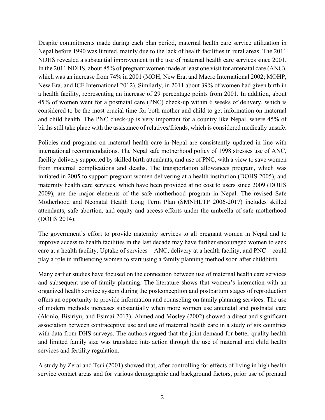Despite commitments made during each plan period, maternal health care service utilization in Nepal before 1990 was limited, mainly due to the lack of health facilities in rural areas. The 2011 NDHS revealed a substantial improvement in the use of maternal health care services since 2001. In the 2011 NDHS, about 85% of pregnant women made at least one visit for antenatal care (ANC), which was an increase from 74% in 2001 (MOH, New Era, and Macro International 2002; MOHP, New Era, and ICF International 2012). Similarly, in 2011 about 39% of women had given birth in a health facility, representing an increase of 29 percentage points from 2001. In addition, about 45% of women went for a postnatal care (PNC) check-up within 6 weeks of delivery, which is considered to be the most crucial time for both mother and child to get information on maternal and child health. The PNC check-up is very important for a country like Nepal, where 45% of births still take place with the assistance of relatives/friends, which is considered medically unsafe.

Policies and programs on maternal health care in Nepal are consistently updated in line with international recommendations. The Nepal safe motherhood policy of 1998 stresses use of ANC, facility delivery supported by skilled birth attendants, and use of PNC, with a view to save women from maternal complications and deaths. The transportation allowances program, which was initiated in 2005 to support pregnant women delivering at a health institution (DOHS 2005), and maternity health care services, which have been provided at no cost to users since 2009 (DOHS 2009), are the major elements of the safe motherhood program in Nepal. The revised Safe Motherhood and Neonatal Health Long Term Plan (SMNHLTP 2006-2017) includes skilled attendants, safe abortion, and equity and access efforts under the umbrella of safe motherhood (DOHS 2014).

The government's effort to provide maternity services to all pregnant women in Nepal and to improve access to health facilities in the last decade may have further encouraged women to seek care at a health facility. Uptake of services—ANC, delivery at a health facility, and PNC—could play a role in influencing women to start using a family planning method soon after childbirth.

Many earlier studies have focused on the connection between use of maternal health care services and subsequent use of family planning. The literature shows that women's interaction with an organized health service system during the postconception and postpartum stages of reproduction offers an opportunity to provide information and counseling on family planning services. The use of modern methods increases substantially when more women use antenatal and postnatal care (Akinlo, Bisiriyu, and Esimai 2013). Ahmed and Mosley (2002) showed a direct and significant association between contraceptive use and use of maternal health care in a study of six countries with data from DHS surveys. The authors argued that the joint demand for better quality health and limited family size was translated into action through the use of maternal and child health services and fertility regulation.

A study by Zerai and Tsui (2001) showed that, after controlling for effects of living in high health service contact areas and for various demographic and background factors, prior use of prenatal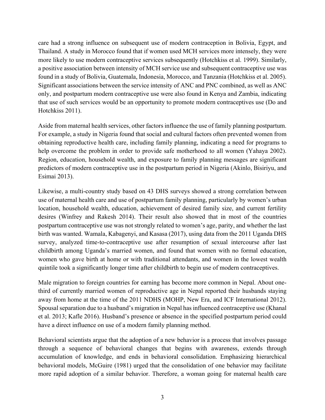care had a strong influence on subsequent use of modern contraception in Bolivia, Egypt, and Thailand. A study in Morocco found that if women used MCH services more intensely, they were more likely to use modern contraceptive services subsequently (Hotchkiss et al. 1999). Similarly, a positive association between intensity of MCH service use and subsequent contraceptive use was found in a study of Bolivia, Guatemala, Indonesia, Morocco, and Tanzania (Hotchkiss et al. 2005). Significant associations between the service intensity of ANC and PNC combined, as well as ANC only, and postpartum modern contraceptive use were also found in Kenya and Zambia, indicating that use of such services would be an opportunity to promote modern contraceptives use (Do and Hotchkiss 2011).

Aside from maternal health services, other factors influence the use of family planning postpartum. For example, a study in Nigeria found that social and cultural factors often prevented women from obtaining reproductive health care, including family planning, indicating a need for programs to help overcome the problem in order to provide safe motherhood to all women (Yahaya 2002). Region, education, household wealth, and exposure to family planning messages are significant predictors of modern contraceptive use in the postpartum period in Nigeria (Akinlo, Bisiriyu, and Esimai 2013).

Likewise, a multi-country study based on 43 DHS surveys showed a strong correlation between use of maternal health care and use of postpartum family planning, particularly by women's urban location, household wealth, education, achievement of desired family size, and current fertility desires (Winfrey and Rakesh 2014). Their result also showed that in most of the countries postpartum contraceptive use was not strongly related to women's age, parity, and whether the last birth was wanted. Wamala, Kabagenyi, and Kasasa (2017), using data from the 2011 Uganda DHS survey, analyzed time-to-contraceptive use after resumption of sexual intercourse after last childbirth among Uganda's married women, and found that women with no formal education, women who gave birth at home or with traditional attendants, and women in the lowest wealth quintile took a significantly longer time after childbirth to begin use of modern contraceptives.

Male migration to foreign countries for earning has become more common in Nepal. About onethird of currently married women of reproductive age in Nepal reported their husbands staying away from home at the time of the 2011 NDHS (MOHP, New Era, and ICF International 2012). Spousal separation due to a husband's migration in Nepal has influenced contraceptive use (Khanal et al. 2013; Kafle 2016). Husband's presence or absence in the specified postpartum period could have a direct influence on use of a modern family planning method.

Behavioral scientists argue that the adoption of a new behavior is a process that involves passage through a sequence of behavioral changes that begins with awareness, extends through accumulation of knowledge, and ends in behavioral consolidation. Emphasizing hierarchical behavioral models, McGuire (1981) urged that the consolidation of one behavior may facilitate more rapid adoption of a similar behavior. Therefore, a woman going for maternal health care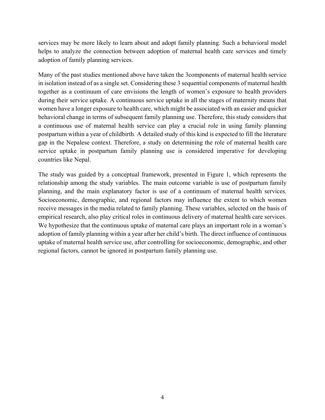services may be more likely to learn about and adopt family planning. Such a behavioral model helps to analyze the connection between adoption of maternal health care services and timely adoption of family planning services.

Many of the past studies mentioned above have taken the 3components of maternal health service in isolation instead of as a single set. Considering these 3 sequential components of maternal health together as a continuum of care envisions the length of women's exposure to health providers during their service uptake. A continuous service uptake in all the stages of maternity means that women have a longer exposure to health care, which might be associated with an easier and quicker behavioral change in terms of subsequent family planning use. Therefore, this study considers that a continuous use of maternal health service can play a crucial role in using family planning postpartum within a year of childbirth. A detailed study of this kind is expected to fill the literature gap in the Nepalese context. Therefore, a study on determining the role of maternal health care service uptake in postpartum family planning use is considered imperative for developing countries like Nepal.

The study was guided by a conceptual framework, presented in Figure 1, which represents the relationship among the study variables. The main outcome variable is use of postpartum family planning, and the main explanatory factor is use of a continuum of maternal health services. Socioeconomic, demographic, and regional factors may influence the extent to which women receive messages in the media related to family planning. These variables, selected on the basis of empirical research, also play critical roles in continuous delivery of maternal health care services. We hypothesize that the continuous uptake of maternal care plays an important role in a woman's adoption of family planning within a year after her child's birth. The direct influence of continuous uptake of maternal health service use, after controlling for socioeconomic, demographic, and other regional factors, cannot be ignored in postpartum family planning use.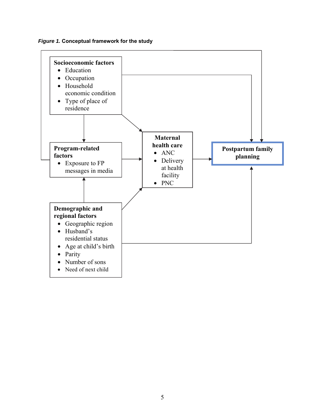*Figure 1.* **Conceptual framework for the study** 

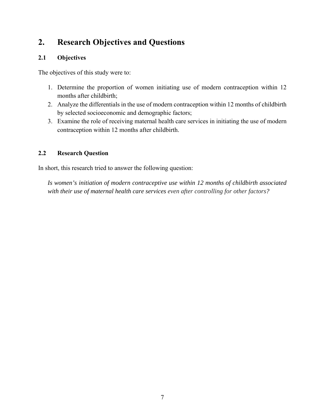# **2. Research Objectives and Questions**

#### **2.1 Objectives**

The objectives of this study were to:

- 1. Determine the proportion of women initiating use of modern contraception within 12 months after childbirth;
- 2. Analyze the differentials in the use of modern contraception within 12 months of childbirth by selected socioeconomic and demographic factors;
- 3. Examine the role of receiving maternal health care services in initiating the use of modern contraception within 12 months after childbirth.

#### **2.2 Research Question**

In short, this research tried to answer the following question:

*Is women's initiation of modern contraceptive use within 12 months of childbirth associated with their use of maternal health care services even after controlling for other factors?*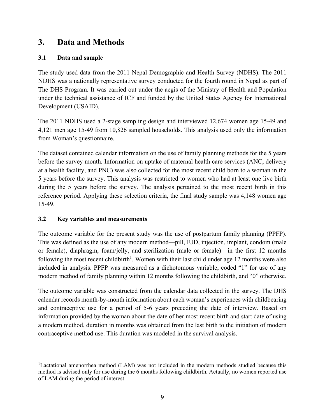# **3. Data and Methods**

#### **3.1 Data and sample**

The study used data from the 2011 Nepal Demographic and Health Survey (NDHS). The 2011 NDHS was a nationally representative survey conducted for the fourth round in Nepal as part of The DHS Program. It was carried out under the aegis of the Ministry of Health and Population under the technical assistance of ICF and funded by the United States Agency for International Development (USAID).

The 2011 NDHS used a 2-stage sampling design and interviewed 12,674 women age 15-49 and 4,121 men age 15-49 from 10,826 sampled households. This analysis used only the information from Woman's questionnaire.

The dataset contained calendar information on the use of family planning methods for the 5 years before the survey month. Information on uptake of maternal health care services (ANC, delivery at a health facility, and PNC) was also collected for the most recent child born to a woman in the 5 years before the survey. This analysis was restricted to women who had at least one live birth during the 5 years before the survey. The analysis pertained to the most recent birth in this reference period. Applying these selection criteria, the final study sample was 4,148 women age 15-49.

#### **3.2 Key variables and measurements**

The outcome variable for the present study was the use of postpartum family planning (PPFP). This was defined as the use of any modern method—pill, IUD, injection, implant, condom (male or female), diaphragm, foam/jelly, and sterilization (male or female)—in the first 12 months following the most recent childbirth<sup>1</sup>. Women with their last child under age 12 months were also included in analysis. PPFP was measured as a dichotomous variable, coded "1" for use of any modern method of family planning within 12 months following the childbirth, and "0" otherwise.

The outcome variable was constructed from the calendar data collected in the survey. The DHS calendar records month-by-month information about each woman's experiences with childbearing and contraceptive use for a period of 5-6 years preceding the date of interview. Based on information provided by the woman about the date of her most recent birth and start date of using a modern method, duration in months was obtained from the last birth to the initiation of modern contraceptive method use. This duration was modeled in the survival analysis.

 $\overline{a}$ <sup>1</sup>Lactational amenorrhea method (LAM) was not included in the modern methods studied because this method is advised only for use during the 6 months following childbirth. Actually, no women reported use of LAM during the period of interest.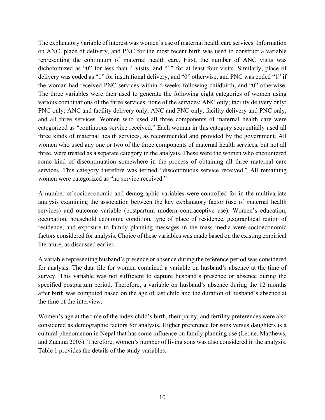The explanatory variable of interest was women's use of maternal health care services. Information on ANC, place of delivery, and PNC for the most recent birth was used to construct a variable representing the continuum of maternal health care. First, the number of ANC visits was dichotomized as "0" for less than 4 visits, and "1" for at least four visits. Similarly, place of delivery was coded as "1" for institutional delivery, and "0" otherwise, and PNC was coded "1" if the woman had received PNC services within 6 weeks following childbirth, and "0" otherwise. The three variables were then used to generate the following eight categories of women using various combinations of the three services: none of the services; ANC only; facility delivery only; PNC only; ANC and facility delivery only; ANC and PNC only; facility delivery and PNC only, and all three services. Women who used all three components of maternal health care were categorized as "continuous service received." Each woman in this category sequentially used all three kinds of maternal health services, as recommended and provided by the government. All women who used any one or two of the three components of maternal health services, but not all three, were treated as a separate category in the analysis. These were the women who encountered some kind of discontinuation somewhere in the process of obtaining all three maternal care services. This category therefore was termed "discontinuous service received." All remaining women were categorized as "no service received."

A number of socioeconomic and demographic variables were controlled for in the multivariate analysis examining the association between the key explanatory factor (use of maternal health services) and outcome variable (postpartum modern contraceptive use). Women's education, occupation, household economic condition, type of place of residence, geographical region of residence, and exposure to family planning messages in the mass media were socioeconomic factors considered for analysis. Choice of these variables was made based on the existing empirical literature, as discussed earlier.

A variable representing husband's presence or absence during the reference period was considered for analysis. The data file for women contained a variable on husband's absence at the time of survey. This variable was not sufficient to capture husband's presence or absence during the specified postpartum period. Therefore, a variable on husband's absence during the 12 months after birth was computed based on the age of last child and the duration of husband's absence at the time of the interview.

Women's age at the time of the index child's birth, their parity, and fertility preferences were also considered as demographic factors for analysis. Higher preference for sons versus daughters is a cultural phenomenon in Nepal that has some influence on family planning use (Leone, Matthews, and Zuanna 2003). Therefore, women's number of living sons was also considered in the analysis. Table 1 provides the details of the study variables.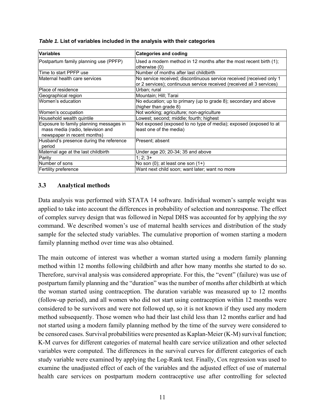| <b>Variables</b>                                                                                            | <b>Categories and coding</b>                                                                                                                  |
|-------------------------------------------------------------------------------------------------------------|-----------------------------------------------------------------------------------------------------------------------------------------------|
| Postpartum family planning use (PPFP)                                                                       | Used a modern method in 12 months after the most recent birth (1):<br>otherwise (0)                                                           |
| Time to start PPFP use                                                                                      | Number of months after last childbirth                                                                                                        |
| Maternal health care services                                                                               | No service received; discontinuous service received (received only 1<br>or 2 services); continuous service received (received all 3 services) |
| Place of residence                                                                                          | Urban; rural                                                                                                                                  |
| Geographical region                                                                                         | Mountain; Hill; Tarai                                                                                                                         |
| Women's education                                                                                           | No education; up to primary (up to grade 8); secondary and above<br>(higher than grade 8)                                                     |
| Women's occupation                                                                                          | Not working; agriculture; non-agriculture                                                                                                     |
| Household wealth quintile                                                                                   | Lowest; second; middle; fourth; highest                                                                                                       |
| Exposure to family planning messages in<br>mass media (radio, television and<br>newspaper in recent months) | Not exposed (exposed to no type of media); exposed (exposed to at<br>least one of the media)                                                  |
| Husband's presence during the reference<br>period                                                           | Present; absent                                                                                                                               |
| Maternal age at the last childbirth                                                                         | Under age 20; 20-34; 35 and above                                                                                                             |
| Parity                                                                                                      | $1; 2; 3+$                                                                                                                                    |
| Number of sons                                                                                              | No son $(0)$ ; at least one son $(1+)$                                                                                                        |
| Fertility preference                                                                                        | Want next child soon; want later; want no more                                                                                                |

*Table 1.* **List of variables included in the analysis with their categories** 

#### **3.3 Analytical methods**

Data analysis was performed with STATA 14 software. Individual women's sample weight was applied to take into account the differences in probability of selection and nonresponse. The effect of complex survey design that was followed in Nepal DHS was accounted for by applying the *svy* command. We described women's use of maternal health services and distribution of the study sample for the selected study variables. The cumulative proportion of women starting a modern family planning method over time was also obtained.

The main outcome of interest was whether a woman started using a modern family planning method within 12 months following childbirth and after how many months she started to do so. Therefore, survival analysis was considered appropriate. For this, the "event" (failure) was use of postpartum family planning and the "duration" was the number of months after childbirth at which the woman started using contraception. The duration variable was measured up to 12 months (follow-up period), and all women who did not start using contraception within 12 months were considered to be survivors and were not followed up, so it is not known if they used any modern method subsequently. Those women who had their last child less than 12 months earlier and had not started using a modern family planning method by the time of the survey were considered to be censored cases. Survival probabilities were presented as Kaplan-Meier (K-M) survival function; K-M curves for different categories of maternal health care service utilization and other selected variables were computed. The differences in the survival curves for different categories of each study variable were examined by applying the Log-Rank test. Finally, Cox regression was used to examine the unadjusted effect of each of the variables and the adjusted effect of use of maternal health care services on postpartum modern contraceptive use after controlling for selected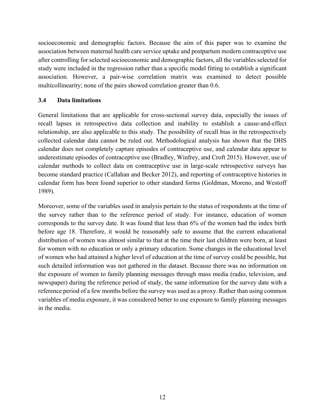socioeconomic and demographic factors. Because the aim of this paper was to examine the association between maternal health care service uptake and postpartum modern contraceptive use after controlling for selected socioeconomic and demographic factors, all the variables selected for study were included in the regression rather than a specific model fitting to establish a significant association. However, a pair-wise correlation matrix was examined to detect possible multicollinearity; none of the pairs showed correlation greater than 0.6.

#### **3.4 Data limitations**

General limitations that are applicable for cross-sectional survey data, especially the issues of recall lapses in retrospective data collection and inability to establish a cause-and-effect relationship, are also applicable to this study. The possibility of recall bias in the retrospectively collected calendar data cannot be ruled out. Methodological analysis has shown that the DHS calendar does not completely capture episodes of contraceptive use, and calendar data appear to underestimate episodes of contraceptive use (Bradley, Winfrey, and Croft 2015). However, use of calendar methods to collect data on contraceptive use in large-scale retrospective surveys has become standard practice (Callahan and Becker 2012), and reporting of contraceptive histories in calendar form has been found superior to other standard forms (Goldman, Moreno, and Westoff 1989).

Moreover, some of the variables used in analysis pertain to the status of respondents at the time of the survey rather than to the reference period of study. For instance, education of women corresponds to the survey date. It was found that less than 6% of the women had the index birth before age 18. Therefore, it would be reasonably safe to assume that the current educational distribution of women was almost similar to that at the time their last children were born, at least for women with no education or only a primary education. Some changes in the educational level of women who had attained a higher level of education at the time of survey could be possible, but such detailed information was not gathered in the dataset. Because there was no information on the exposure of women to family planning messages through mass media (radio, television, and newspaper) during the reference period of study, the same information for the survey date with a reference period of a few months before the survey was used as a proxy. Rather than using common variables of media exposure, it was considered better to use exposure to family planning messages in the media.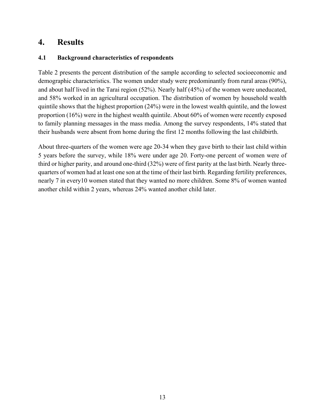## **4. Results**

#### **4.1 Background characteristics of respondents**

Table 2 presents the percent distribution of the sample according to selected socioeconomic and demographic characteristics. The women under study were predominantly from rural areas (90%), and about half lived in the Tarai region (52%). Nearly half (45%) of the women were uneducated, and 58% worked in an agricultural occupation. The distribution of women by household wealth quintile shows that the highest proportion (24%) were in the lowest wealth quintile, and the lowest proportion (16%) were in the highest wealth quintile. About 60% of women were recently exposed to family planning messages in the mass media. Among the survey respondents, 14% stated that their husbands were absent from home during the first 12 months following the last childbirth.

About three-quarters of the women were age 20-34 when they gave birth to their last child within 5 years before the survey, while 18% were under age 20. Forty-one percent of women were of third or higher parity, and around one-third (32%) were of first parity at the last birth. Nearly threequarters of women had at least one son at the time of their last birth. Regarding fertility preferences, nearly 7 in every10 women stated that they wanted no more children. Some 8% of women wanted another child within 2 years, whereas 24% wanted another child later.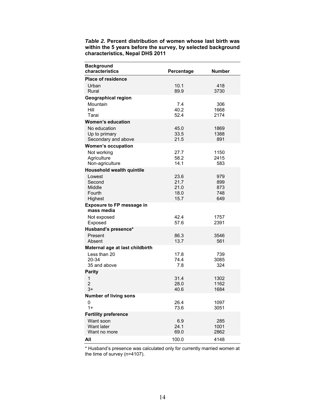| Table 2. Percent distribution of women whose last birth was  |
|--------------------------------------------------------------|
| within the 5 years before the survey, by selected background |
| characteristics, Nepal DHS 2011                              |

| <b>Background</b><br>characteristics                                     | Percentage                           | <b>Number</b>                   |
|--------------------------------------------------------------------------|--------------------------------------|---------------------------------|
| <b>Place of residence</b>                                                |                                      |                                 |
| Urban<br>Rural                                                           | 10.1<br>89.9                         | 418<br>3730                     |
| <b>Geographical region</b>                                               |                                      |                                 |
| Mountain<br>Hill<br>Tarai                                                | 7.4<br>40.2<br>52.4                  | 306<br>1668<br>2174             |
| <b>Women's education</b>                                                 |                                      |                                 |
| No education<br>Up to primary<br>Secondary and above                     | 45.0<br>33.5<br>21.5                 | 1869<br>1388<br>891             |
| <b>Women's occupation</b>                                                |                                      |                                 |
| Not working<br>Agriculture<br>Non-agriculture                            | 27.7<br>58.2<br>14.1                 | 1150<br>2415<br>583             |
| <b>Household wealth quintile</b>                                         |                                      |                                 |
| Lowest<br>Second<br>Middle<br>Fourth<br>Highest                          | 23.6<br>21.7<br>21.0<br>18.0<br>15.7 | 979<br>899<br>873<br>748<br>649 |
| <b>Exposure to FP message in</b><br>mass media                           |                                      |                                 |
| Not exposed<br>Exposed                                                   | 42.4<br>57.6                         | 1757<br>2391                    |
| Husband's presence*                                                      |                                      |                                 |
| Present<br>Absent                                                        | 86.3<br>13.7                         | 3546<br>561                     |
| Maternal age at last childbirth<br>Less than 20<br>20-34<br>35 and above | 17.8<br>74.4<br>7.8                  | 739<br>3085<br>324              |
| <b>Parity</b>                                                            |                                      |                                 |
| 1<br>$\overline{2}$<br>$3+$                                              | 31.4<br>28.0<br>40.6                 | 1302<br>1162<br>1684            |
| <b>Number of living sons</b>                                             |                                      |                                 |
| 0<br>$1+$                                                                | 26.4<br>73.6                         | 1097<br>3051                    |
| <b>Fertility preference</b>                                              |                                      |                                 |
| Want soon<br>Want later<br>Want no more                                  | 6.9<br>24.1<br>69.0                  | 285<br>1001<br>2862             |
| All                                                                      | 100.0                                | 4148                            |

\* Husband's presence was calculated only for currently married women at the time of survey (n=4107).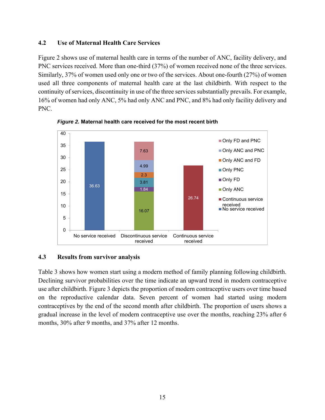#### **4.2 Use of Maternal Health Care Services**

Figure 2 shows use of maternal health care in terms of the number of ANC, facility delivery, and PNC services received. More than one-third (37%) of women received none of the three services. Similarly, 37% of women used only one or two of the services. About one-fourth (27%) of women used all three components of maternal health care at the last childbirth. With respect to the continuity of services, discontinuity in use of the three services substantially prevails. For example, 16% of women had only ANC, 5% had only ANC and PNC, and 8% had only facility delivery and PNC.



*Figure 2.* **Maternal health care received for the most recent birth** 

#### **4.3 Results from survivor analysis**

Table 3 shows how women start using a modern method of family planning following childbirth. Declining survivor probabilities over the time indicate an upward trend in modern contraceptive use after childbirth. Figure 3 depicts the proportion of modern contraceptive users over time based on the reproductive calendar data. Seven percent of women had started using modern contraceptives by the end of the second month after childbirth. The proportion of users shows a gradual increase in the level of modern contraceptive use over the months, reaching 23% after 6 months, 30% after 9 months, and 37% after 12 months.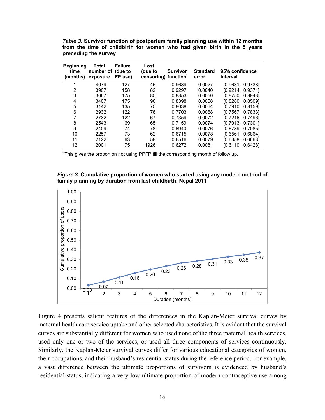|  |                      |  | Table 3. Survivor function of postpartum family planning use within 12 months |  |  |  |  |
|--|----------------------|--|-------------------------------------------------------------------------------|--|--|--|--|
|  |                      |  | from the time of childbirth for women who had given birth in the 5 years      |  |  |  |  |
|  | preceding the survey |  |                                                                               |  |  |  |  |

| <b>Beginning</b><br>time<br>(months) | Total<br>number of<br>exposure | <b>Failure</b><br>(due to<br>FP use) | Lost<br>(due to | <b>Survivor</b><br>censoring) function* | <b>Standard</b><br>error | 95% confidence<br>interval |
|--------------------------------------|--------------------------------|--------------------------------------|-----------------|-----------------------------------------|--------------------------|----------------------------|
|                                      | 4079                           | 127                                  | 45              | 0.9689                                  | 0.0027                   | [0.9631, 0.9738]           |
| 2                                    | 3907                           | 158                                  | 82              | 0.9297                                  | 0.0040                   | [0.9214, 0.9371]           |
| 3                                    | 3667                           | 175                                  | 85              | 0.8853                                  | 0.0050                   | [0.8750, 0.8948]           |
| 4                                    | 3407                           | 175                                  | 90              | 0.8398                                  | 0.0058                   | [0.8280, 0.8509]           |
| 5                                    | 3142                           | 135                                  | 75              | 0.8038                                  | 0.0064                   | [0.7910, 0.8159]           |
| 6                                    | 2932                           | 122                                  | 78              | 0.7703                                  | 0.0068                   | [0.7567, 0.7833]           |
|                                      | 2732                           | 122                                  | 67              | 0.7359                                  | 0.0072                   | [0.7216, 0.7496]           |
| 8                                    | 2543                           | 69                                   | 65              | 0.7159                                  | 0.0074                   | [0.7013, 0.7301]           |
| 9                                    | 2409                           | 74                                   | 78              | 0.6940                                  | 0.0076                   | [0.6789, 0.7085]           |
| 10                                   | 2257                           | 73                                   | 62              | 0.6715                                  | 0.0078                   | [0.6561, 0.6864]           |
| 11                                   | 2122                           | 63                                   | 58              | 0.6516                                  | 0.0079                   | [0.6358, 0.6668]           |
| 12                                   | 2001                           | 75                                   | 1926            | 0.6272                                  | 0.0081                   | [0.6110, 0.6428]           |

\* This gives the proportion not using PPFP till the corresponding month of follow up.





Figure 4 presents salient features of the differences in the Kaplan-Meier survival curves by maternal health care service uptake and other selected characteristics. It is evident that the survival curves are substantially different for women who used none of the three maternal health services, used only one or two of the services, or used all three components of services continuously. Similarly, the Kaplan-Meier survival curves differ for various educational categories of women, their occupations, and their husband's residential status during the reference period. For example, a vast difference between the ultimate proportions of survivors is evidenced by husband's residential status, indicating a very low ultimate proportion of modern contraceptive use among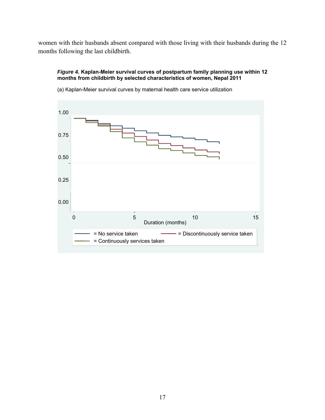women with their husbands absent compared with those living with their husbands during the 12 months following the last childbirth.

#### *Figure 4.* **Kaplan-Meier survival curves of postpartum family planning use within 12 months from childbirth by selected characteristics of women, Nepal 2011**



(a) Kaplan-Meier survival curves by maternal health care service utilization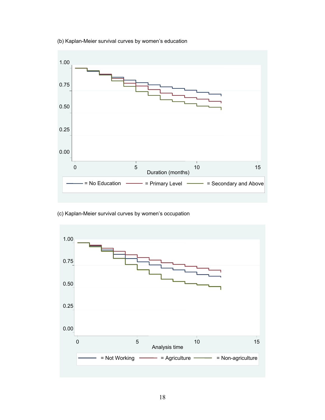

(b) Kaplan-Meier survival curves by women's education

(c) Kaplan-Meier survival curves by women's occupation

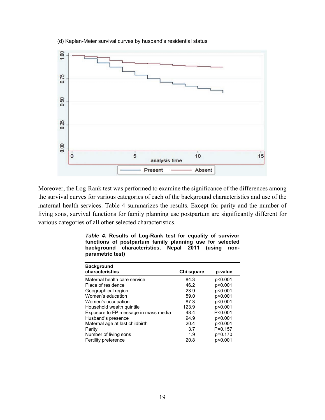

(d) Kaplan-Meier survival curves by husband's residential status

Moreover, the Log-Rank test was performed to examine the significance of the differences among the survival curves for various categories of each of the background characteristics and use of the maternal health services. Table 4 summarizes the results. Except for parity and the number of living sons, survival functions for family planning use postpartum are significantly different for various categories of all other selected characteristics.

| <b>Background</b><br>characteristics | Chi square | p-value     |
|--------------------------------------|------------|-------------|
| Maternal health care service         | 84.3       | p<0.001     |
| Place of residence                   | 46.2       | p<0.001     |
| Geographical region                  | 23.9       | p<0.001     |
| Women's education                    | 59.0       | p<0.001     |
| Women's occupation                   | 87.3       | p<0.001     |
| Household wealth quintile            | 123.9      | p<0.001     |
| Exposure to FP message in mass media | 48.4       | P < 0.001   |
| Husband's presence                   | 94.9       | p<0.001     |
| Maternal age at last childbirth      | 20.4       | p<0.001     |
| Parity                               | 3.7        | $P = 0.157$ |
| Number of living sons                | 1.9        | p=0.170     |
| Fertility preference                 | 20.8       | p<0.001     |

|                  | Table 4. Results of Log-Rank test for equality of survivor |  |  |
|------------------|------------------------------------------------------------|--|--|
|                  | functions of postpartum family planning use for selected   |  |  |
|                  | background characteristics, Nepal 2011 (using non-         |  |  |
| parametric test) |                                                            |  |  |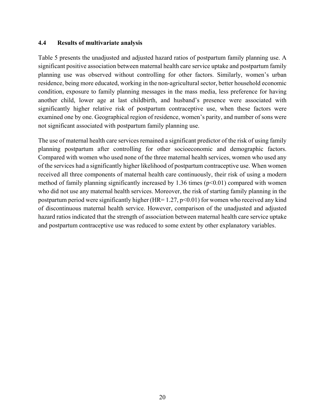#### **4.4 Results of multivariate analysis**

Table 5 presents the unadjusted and adjusted hazard ratios of postpartum family planning use. A significant positive association between maternal health care service uptake and postpartum family planning use was observed without controlling for other factors. Similarly, women's urban residence, being more educated, working in the non-agricultural sector, better household economic condition, exposure to family planning messages in the mass media, less preference for having another child, lower age at last childbirth, and husband's presence were associated with significantly higher relative risk of postpartum contraceptive use, when these factors were examined one by one. Geographical region of residence, women's parity, and number of sons were not significant associated with postpartum family planning use.

The use of maternal health care services remained a significant predictor of the risk of using family planning postpartum after controlling for other socioeconomic and demographic factors. Compared with women who used none of the three maternal health services, women who used any of the services had a significantly higher likelihood of postpartum contraceptive use. When women received all three components of maternal health care continuously, their risk of using a modern method of family planning significantly increased by 1.36 times  $(p<0.01)$  compared with women who did not use any maternal health services. Moreover, the risk of starting family planning in the postpartum period were significantly higher (HR=  $1.27$ , p<0.01) for women who received any kind of discontinuous maternal health service. However, comparison of the unadjusted and adjusted hazard ratios indicated that the strength of association between maternal health care service uptake and postpartum contraceptive use was reduced to some extent by other explanatory variables.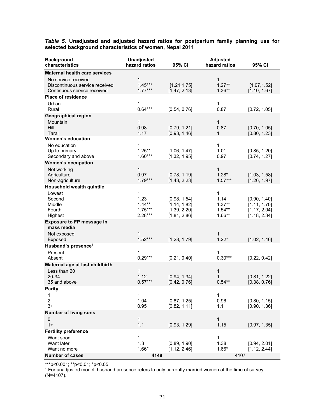*Table 5.* **Unadjusted and adjusted hazard ratios for postpartum family planning use for selected background characteristics of women, Nepal 2011** 

| <b>Background</b><br>characteristics                                                 | <b>Unadjusted</b><br>hazard ratios              | 95% CI                                                       | <b>Adjusted</b><br>hazard ratios              | 95% CI                                                       |
|--------------------------------------------------------------------------------------|-------------------------------------------------|--------------------------------------------------------------|-----------------------------------------------|--------------------------------------------------------------|
| <b>Maternal health care services</b>                                                 |                                                 |                                                              |                                               |                                                              |
| No service received<br>Discontinuous service received<br>Continuous service received | 1<br>$1.45***$<br>$1.77***$                     | [1.21, 1.75]<br>[1.47, 2.13]                                 | 1<br>$1.27**$<br>$1.36**$                     | [1.07, 1.52]<br>[1.10, 1.67]                                 |
| <b>Place of residence</b>                                                            |                                                 |                                                              |                                               |                                                              |
| Urban<br>Rural                                                                       | 1<br>$0.64***$                                  | [0.54, 0.76]                                                 | 1<br>0.87                                     | [0.72, 1.05]                                                 |
| <b>Geographical region</b>                                                           |                                                 |                                                              |                                               |                                                              |
| Mountain<br>Hill<br>Tarai                                                            | 1<br>0.98<br>1.17                               | [0.79, 1.21]<br>[0.93, 1.46]                                 | $\mathbf{1}$<br>0.87<br>1                     | [0.70, 1.05]<br>[0.80, 1.23]                                 |
| <b>Women's education</b>                                                             |                                                 |                                                              |                                               |                                                              |
| No education<br>Up to primary<br>Secondary and above                                 | 1<br>$1.25***$<br>$1.60***$                     | [1.06, 1.47]<br>[1.32, 1.95]                                 | 1<br>1.01<br>0.97                             | [0.85, 1.20]<br>[0.74, 1.27]                                 |
| <b>Women's occupation</b>                                                            |                                                 |                                                              |                                               |                                                              |
| Not working<br>Agriculture<br>Non-agriculture                                        | 1<br>0.97<br>$1.79***$                          | [0.78, 1.19]<br>[1.43, 2.23]                                 | $\mathbf{1}$<br>$1.28*$<br>$1.57***$          | [1.03, 1.58]<br>[1.26, 1.97]                                 |
| Household wealth quintile                                                            |                                                 |                                                              |                                               |                                                              |
| Lowest<br>Second<br>Middle<br>Fourth<br>Highest                                      | 1<br>1.23<br>$1.44**$<br>$1.75***$<br>$2.28***$ | [0.98, 1.54]<br>[1.14, 1.82]<br>[1.39, 2.20]<br>[1.81, 2.86] | 1<br>1.14<br>$1.37**$<br>$1.54**$<br>$1.66**$ | [0.90, 1.40]<br>[1.11, 1.70]<br>[1.17, 2.04]<br>[1.18, 2.34] |
| <b>Exposure to FP message in</b><br>mass media                                       |                                                 |                                                              |                                               |                                                              |
| Not exposed<br>Exposed                                                               | 1<br>$1.52***$                                  | [1.28, 1.79]                                                 | 1<br>$1.22*$                                  | [1.02, 1.46]                                                 |
| Husband's presence <sup>1</sup>                                                      |                                                 |                                                              |                                               |                                                              |
| Present<br>Absent                                                                    | 1<br>$0.29***$                                  | [0.21, 0.40]                                                 | 1<br>$0.30***$                                | [0.22, 0.42]                                                 |
| Maternal age at last childbirth                                                      |                                                 |                                                              |                                               |                                                              |
| Less than 20<br>$20 - 34$<br>35 and above                                            | 1<br>1.12<br>$0.57***$                          | [0.94, 1.34]<br>[0.42, 0.76]                                 | 1<br>1<br>$0.54**$                            | [0.81, 1.22]<br>[0.38, 0.76]                                 |
| <b>Parity</b>                                                                        |                                                 |                                                              |                                               |                                                              |
| 1<br>$\overline{2}$<br>$3+$                                                          | 1<br>1.04<br>0.95                               | [0.87, 1.25]<br>[0.82, 1.11]                                 | 1<br>0.96<br>1.1                              | [0.80, 1.15]<br>[0.90, 1.36]                                 |
| <b>Number of living sons</b><br>0<br>$1+$                                            | 1<br>1.1                                        | [0.93, 1.29]                                                 | $\mathbf{1}$<br>1.15                          | [0.97, 1.35]                                                 |
| <b>Fertility preference</b>                                                          |                                                 |                                                              |                                               |                                                              |
| Want soon<br>Want later<br>Want no more                                              | 1<br>1.3<br>$1.66*$                             | [0.89, 1.90]<br>[1.12, 2.46]                                 | 1<br>1.38<br>$1.66*$                          | [0.94, 2.01]<br>[1.12, 2.44]                                 |
| <b>Number of cases</b>                                                               | 4148                                            |                                                              | 4107                                          |                                                              |

\*\*\*p<0.001; \*\*p<0.01; \*p<0.05

<sup>1</sup> For unadjusted model, husband presence refers to only currently married women at the time of survey (N=4107).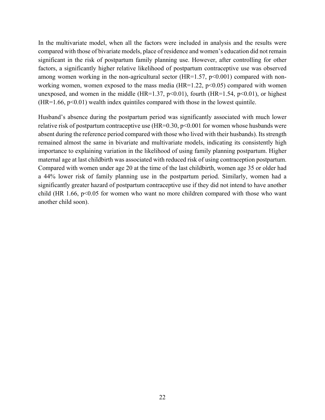In the multivariate model, when all the factors were included in analysis and the results were compared with those of bivariate models, place of residence and women's education did not remain significant in the risk of postpartum family planning use. However, after controlling for other factors, a significantly higher relative likelihood of postpartum contraceptive use was observed among women working in the non-agricultural sector  $(HR=1.57, p<0.001)$  compared with nonworking women, women exposed to the mass media ( $HR=1.22$ ,  $p<0.05$ ) compared with women unexposed, and women in the middle (HR=1.37, p<0.01), fourth (HR=1.54, p<0.01), or highest  $(HR=1.66, p<0.01)$  wealth index quintiles compared with those in the lowest quintile.

Husband's absence during the postpartum period was significantly associated with much lower relative risk of postpartum contraceptive use  $(HR=0.30, p<0.001$  for women whose husbands were absent during the reference period compared with those who lived with their husbands). Its strength remained almost the same in bivariate and multivariate models, indicating its consistently high importance to explaining variation in the likelihood of using family planning postpartum. Higher maternal age at last childbirth was associated with reduced risk of using contraception postpartum. Compared with women under age 20 at the time of the last childbirth, women age 35 or older had a 44% lower risk of family planning use in the postpartum period. Similarly, women had a significantly greater hazard of postpartum contraceptive use if they did not intend to have another child (HR 1.66,  $p<0.05$  for women who want no more children compared with those who want another child soon).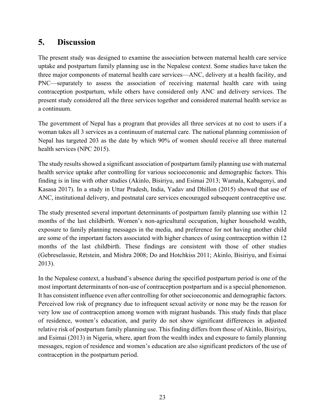# **5. Discussion**

The present study was designed to examine the association between maternal health care service uptake and postpartum family planning use in the Nepalese context. Some studies have taken the three major components of maternal health care services—ANC, delivery at a health facility, and PNC—separately to assess the association of receiving maternal health care with using contraception postpartum, while others have considered only ANC and delivery services. The present study considered all the three services together and considered maternal health service as a continuum.

The government of Nepal has a program that provides all three services at no cost to users if a woman takes all 3 services as a continuum of maternal care. The national planning commission of Nepal has targeted 203 as the date by which 90% of women should receive all three maternal health services (NPC 2015).

The study results showed a significant association of postpartum family planning use with maternal health service uptake after controlling for various socioeconomic and demographic factors. This finding is in line with other studies (Akinlo, Bisiriyu, and Esimai 2013; Wamala, Kabagenyi, and Kasasa 2017). In a study in Uttar Pradesh, India, Yadav and Dhillon (2015) showed that use of ANC, institutional delivery, and postnatal care services encouraged subsequent contraceptive use.

The study presented several important determinants of postpartum family planning use within 12 months of the last childbirth. Women's non-agricultural occupation, higher household wealth, exposure to family planning messages in the media, and preference for not having another child are some of the important factors associated with higher chances of using contraception within 12 months of the last childbirth. These findings are consistent with those of other studies (Gebreselassie, Retstein, and Mishra 2008; Do and Hotchkiss 2011; Akinlo, Bisiriyu, and Esimai 2013).

In the Nepalese context, a husband's absence during the specified postpartum period is one of the most important determinants of non-use of contraception postpartum and is a special phenomenon. It has consistent influence even after controlling for other socioeconomic and demographic factors. Perceived low risk of pregnancy due to infrequent sexual activity or none may be the reason for very low use of contraception among women with migrant husbands. This study finds that place of residence, women's education, and parity do not show significant differences in adjusted relative risk of postpartum family planning use. This finding differs from those of Akinlo, Bisiriyu, and Esimai (2013) in Nigeria, where, apart from the wealth index and exposure to family planning messages, region of residence and women's education are also significant predictors of the use of contraception in the postpartum period.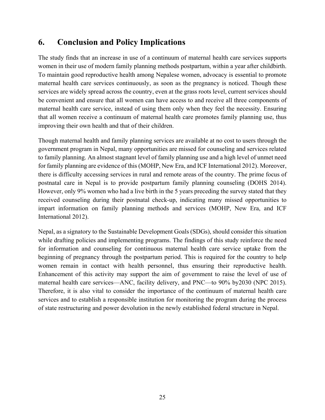# **6. Conclusion and Policy Implications**

The study finds that an increase in use of a continuum of maternal health care services supports women in their use of modern family planning methods postpartum, within a year after childbirth. To maintain good reproductive health among Nepalese women, advocacy is essential to promote maternal health care services continuously, as soon as the pregnancy is noticed. Though these services are widely spread across the country, even at the grass roots level, current services should be convenient and ensure that all women can have access to and receive all three components of maternal health care service, instead of using them only when they feel the necessity. Ensuring that all women receive a continuum of maternal health care promotes family planning use, thus improving their own health and that of their children.

Though maternal health and family planning services are available at no cost to users through the government program in Nepal, many opportunities are missed for counseling and services related to family planning. An almost stagnant level of family planning use and a high level of unmet need for family planning are evidence of this (MOHP, New Era, and ICF International 2012). Moreover, there is difficulty accessing services in rural and remote areas of the country. The prime focus of postnatal care in Nepal is to provide postpartum family planning counseling (DOHS 2014). However, only 9% women who had a live birth in the 5 years preceding the survey stated that they received counseling during their postnatal check-up, indicating many missed opportunities to impart information on family planning methods and services (MOHP, New Era, and ICF International 2012).

Nepal, as a signatory to the Sustainable Development Goals (SDGs), should consider this situation while drafting policies and implementing programs. The findings of this study reinforce the need for information and counseling for continuous maternal health care service uptake from the beginning of pregnancy through the postpartum period. This is required for the country to help women remain in contact with health personnel, thus ensuring their reproductive health. Enhancement of this activity may support the aim of government to raise the level of use of maternal health care services—ANC, facility delivery, and PNC—to 90% by2030 (NPC 2015). Therefore, it is also vital to consider the importance of the continuum of maternal health care services and to establish a responsible institution for monitoring the program during the process of state restructuring and power devolution in the newly established federal structure in Nepal.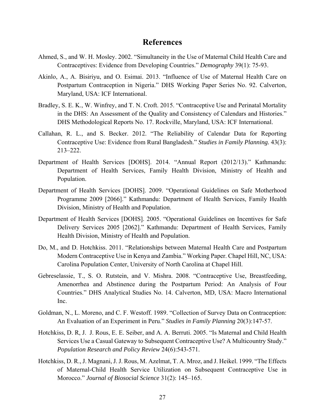### **References**

- Ahmed, S., and W. H. Mosley. 2002. "Simultaneity in the Use of Maternal Child Health Care and Contraceptives: Evidence from Developing Countries." *Demography* 39(1): 75-93.
- Akinlo, A., A. Bisiriyu, and O. Esimai. 2013. "Influence of Use of Maternal Health Care on Postpartum Contraception in Nigeria." DHS Working Paper Series No. 92. Calverton, Maryland, USA: ICF International.
- Bradley, S. E. K., W. Winfrey, and T. N. Croft. 2015. "Contraceptive Use and Perinatal Mortality in the DHS: An Assessment of the Quality and Consistency of Calendars and Histories." DHS Methodological Reports No. 17. Rockville, Maryland, USA: ICF International.
- Callahan, R. L., and S. Becker. 2012. "The Reliability of Calendar Data for Reporting Contraceptive Use: Evidence from Rural Bangladesh." *Studies in Family Planning.* 43(3): 213–222.
- Department of Health Services [DOHS]. 2014. "Annual Report (2012/13)." Kathmandu: Department of Health Services, Family Health Division, Ministry of Health and Population.
- Department of Health Services [DOHS]. 2009. "Operational Guidelines on Safe Motherhood Programme 2009 [2066]." Kathmandu: Department of Health Services, Family Health Division, Ministry of Health and Population.
- Department of Health Services [DOHS]. 2005. "Operational Guidelines on Incentives for Safe Delivery Services 2005 [2062]." Kathmandu: Department of Health Services, Family Health Division, Ministry of Health and Population.
- Do, M., and D. Hotchkiss. 2011. "Relationships between Maternal Health Care and Postpartum Modern Contraceptive Use in Kenya and Zambia." Working Paper. Chapel Hill, NC, USA: Carolina Population Center, University of North Carolina at Chapel Hill.
- Gebreselassie, T., S. O. Rutstein, and V. Mishra. 2008. "Contraceptive Use, Breastfeeding, Amenorrhea and Abstinence during the Postpartum Period: An Analysis of Four Countries." DHS Analytical Studies No. 14. Calverton, MD, USA: Macro International Inc.
- Goldman, N., L. Moreno, and C. F. Westoff. 1989. "Collection of Survey Data on Contraception: An Evaluation of an Experiment in Peru." *Studies in Family Planning* 20(3):147-57.
- Hotchkiss, D. R, J. J. Rous, E. E. Seiber, and A. A. Berruti. 2005. "Is Maternal and Child Health Services Use a Casual Gateway to Subsequent Contraceptive Use? A Multicountry Study." *Population Research and Policy Review* 24(6):543-571.
- Hotchkiss, D. R., J. Magnani, J. J. Rous, M. Azelmat, T. A. Mroz, and J. Heikel. 1999. "The Effects of Maternal-Child Health Service Utilization on Subsequent Contraceptive Use in Morocco." *Journal of Biosocial Science* 31(2): 145–165.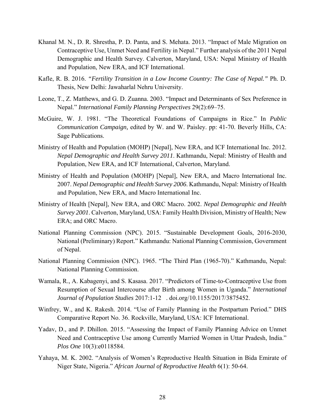- Khanal M. N., D. R. Shrestha, P. D. Panta, and S. Mehata. 2013. "Impact of Male Migration on Contraceptive Use, Unmet Need and Fertility in Nepal." Further analysis of the 2011 Nepal Demographic and Health Survey. Calverton, Maryland, USA: Nepal Ministry of Health and Population, New ERA, and ICF International.
- Kafle, R. B. 2016. *"Fertility Transition in a Low Income Country: The Case of Nepal."* Ph. D. Thesis, New Delhi: Jawaharlal Nehru University.
- Leone, T., Z. Matthews, and G. D. Zuanna. 2003. "Impact and Determinants of Sex Preference in Nepal." *International Family Planning Perspectives* 29(2):69–75.
- McGuire, W. J. 1981. "The Theoretical Foundations of Campaigns in Rice." In *Public Communication Campaign,* edited by W. and W. Paisley. pp: 41-70. Beverly Hills, CA: Sage Publications.
- Ministry of Health and Population (MOHP) [Nepal], New ERA, and ICF International Inc. 2012. *Nepal Demographic and Health Survey 2011*. Kathmandu, Nepal: Ministry of Health and Population, New ERA, and ICF International, Calverton, Maryland.
- Ministry of Health and Population (MOHP) [Nepal], New ERA, and Macro International Inc. 2007. *Nepal Demographic and Health Survey 2006*. Kathmandu, Nepal: Ministry of Health and Population, New ERA, and Macro International Inc.
- Ministry of Health [Nepal], New ERA, and ORC Macro. 2002. *Nepal Demographic and Health Survey 2001*. Calverton, Maryland, USA: Family Health Division, Ministry of Health; New ERA; and ORC Macro.
- National Planning Commission (NPC). 2015. "Sustainable Development Goals, 2016-2030, National (Preliminary) Report." Kathmandu: National Planning Commission, Government of Nepal.
- National Planning Commission (NPC). 1965. "The Third Plan (1965-70)." Kathmandu, Nepal: National Planning Commission.
- Wamala, R., A. Kabagenyi, and S. Kasasa. 2017. "Predictors of Time-to-Contraceptive Use from Resumption of Sexual Intercourse after Birth among Women in Uganda." *International Journal of Population Studies* 2017:1-12 . doi.org/10.1155/2017/3875452.
- Winfrey, W., and K. Rakesh. 2014. "Use of Family Planning in the Postpartum Period." DHS Comparative Report No. 36. Rockville, Maryland, USA: ICF International.
- Yadav, D., and P. Dhillon. 2015. "Assessing the Impact of Family Planning Advice on Unmet Need and Contraceptive Use among Currently Married Women in Uttar Pradesh, India." *Plos One* 10(3):e0118584.
- Yahaya, M. K. 2002. "Analysis of Women's Reproductive Health Situation in Bida Emirate of Niger State, Nigeria." *African Journal of Reproductive Health* 6(1): 50-64.